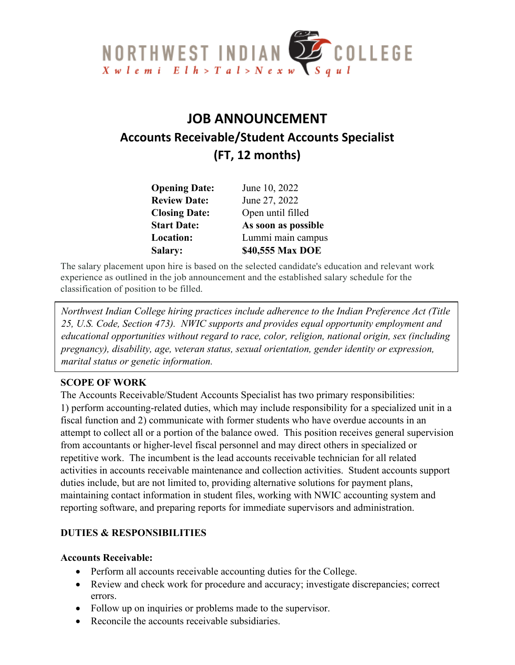

# **JOB ANNOUNCEMENT Accounts Receivable/Student Accounts Specialist (FT, 12 months)**

| <b>Opening Date:</b> | June 10, 2022       |
|----------------------|---------------------|
| <b>Review Date:</b>  | June 27, 2022       |
| <b>Closing Date:</b> | Open until filled   |
| <b>Start Date:</b>   | As soon as possible |
| Location:            | Lummi main campus   |
| Salary:              | \$40,555 Max DOE    |

The salary placement upon hire is based on the selected candidate's education and relevant work experience as outlined in the job announcement and the established salary schedule for the classification of position to be filled.

*Northwest Indian College hiring practices include adherence to the Indian Preference Act (Title 25, U.S. Code, Section 473). NWIC supports and provides equal opportunity employment and educational opportunities without regard to race, color, religion, national origin, sex (including pregnancy), disability, age, veteran status, sexual orientation, gender identity or expression, marital status or genetic information.*

#### **SCOPE OF WORK**

The Accounts Receivable/Student Accounts Specialist has two primary responsibilities: 1) perform accounting-related duties, which may include responsibility for a specialized unit in a fiscal function and 2) communicate with former students who have overdue accounts in an attempt to collect all or a portion of the balance owed. This position receives general supervision from accountants or higher-level fiscal personnel and may direct others in specialized or repetitive work. The incumbent is the lead accounts receivable technician for all related activities in accounts receivable maintenance and collection activities. Student accounts support duties include, but are not limited to, providing alternative solutions for payment plans, maintaining contact information in student files, working with NWIC accounting system and reporting software, and preparing reports for immediate supervisors and administration.

#### **DUTIES & RESPONSIBILITIES**

#### **Accounts Receivable:**

- Perform all accounts receivable accounting duties for the College.
- Review and check work for procedure and accuracy; investigate discrepancies; correct errors.
- Follow up on inquiries or problems made to the supervisor.
- Reconcile the accounts receivable subsidiaries.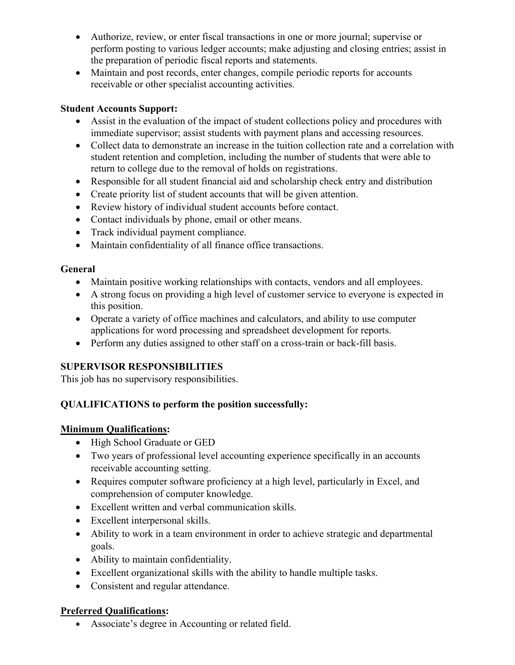- Authorize, review, or enter fiscal transactions in one or more journal; supervise or perform posting to various ledger accounts; make adjusting and closing entries; assist in the preparation of periodic fiscal reports and statements.
- Maintain and post records, enter changes, compile periodic reports for accounts receivable or other specialist accounting activities.

# **Student Accounts Support:**

- Assist in the evaluation of the impact of student collections policy and procedures with immediate supervisor; assist students with payment plans and accessing resources.
- Collect data to demonstrate an increase in the tuition collection rate and a correlation with student retention and completion, including the number of students that were able to return to college due to the removal of holds on registrations.
- Responsible for all student financial aid and scholarship check entry and distribution
- Create priority list of student accounts that will be given attention.
- Review history of individual student accounts before contact.
- Contact individuals by phone, email or other means.
- Track individual payment compliance.
- Maintain confidentiality of all finance office transactions.

# **General**

- Maintain positive working relationships with contacts, vendors and all employees.
- A strong focus on providing a high level of customer service to everyone is expected in this position.
- Operate a variety of office machines and calculators, and ability to use computer applications for word processing and spreadsheet development for reports.
- Perform any duties assigned to other staff on a cross-train or back-fill basis.

# **SUPERVISOR RESPONSIBILITIES**

This job has no supervisory responsibilities.

# **QUALIFICATIONS to perform the position successfully:**

# **Minimum Qualifications:**

- High School Graduate or GED
- Two years of professional level accounting experience specifically in an accounts receivable accounting setting.
- Requires computer software proficiency at a high level, particularly in Excel, and comprehension of computer knowledge.
- Excellent written and verbal communication skills.
- Excellent interpersonal skills.
- Ability to work in a team environment in order to achieve strategic and departmental goals.
- Ability to maintain confidentiality.
- Excellent organizational skills with the ability to handle multiple tasks.
- Consistent and regular attendance.

# **Preferred Qualifications:**

• Associate's degree in Accounting or related field.